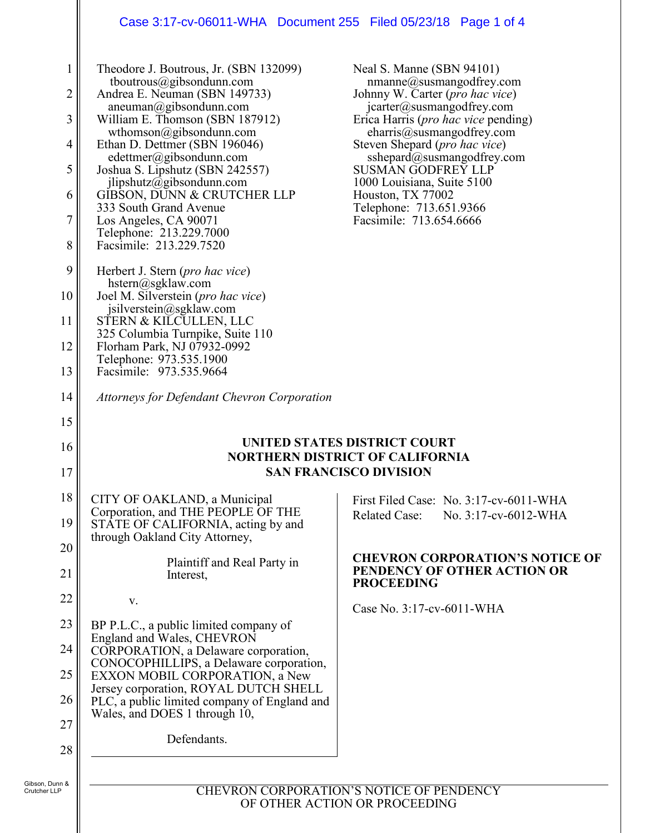## Case 3:17-cv-06011-WHA Document 255 Filed 05/23/18 Page 1 of 4

| $\mathbf{1}$<br>$\overline{2}$<br>$\mathfrak{Z}$ | Theodore J. Boutrous, Jr. (SBN 132099)<br>tboutrous@gibsondunn.com<br>Andrea E. Neuman (SBN 149733)<br>aneuman@gibsondunn.com<br>William E. Thomson (SBN 187912) | Neal S. Manne (SBN 94101)<br>nmanne@susmangodfrey.com<br>Johnny W. Carter (pro hac vice)<br>jcarter@susmangodfrey.com<br>Erica Harris ( <i>pro hac vice</i> pending) |  |
|--------------------------------------------------|------------------------------------------------------------------------------------------------------------------------------------------------------------------|----------------------------------------------------------------------------------------------------------------------------------------------------------------------|--|
| $\overline{4}$                                   | wthomson@gibsondunn.com<br>Ethan D. Dettmer (SBN 196046)                                                                                                         | charris@susmangodfrey.com<br>Steven Shepard ( <i>pro hac vice</i> )                                                                                                  |  |
| 5                                                | edettmer@gibsondunn.com<br>Joshua S. Lipshutz (SBN 242557)                                                                                                       | sshepard@susmangodfrey.com<br><b>SUSMAN GODFREY LLP</b>                                                                                                              |  |
| 6                                                | jlipshutz@gibsondunn.com<br>GIBSON, DUNN & CRUTCHER LLP                                                                                                          | 1000 Louisiana, Suite 5100<br>Houston, TX 77002                                                                                                                      |  |
| $\tau$                                           | 333 South Grand Avenue<br>Los Angeles, CA 90071<br>Telephone: 213.229.7000                                                                                       | Telephone: 713.651.9366<br>Facsimile: 713.654.6666                                                                                                                   |  |
| 8                                                | Facsimile: 213.229.7520                                                                                                                                          |                                                                                                                                                                      |  |
| 9                                                | Herbert J. Stern ( <i>pro hac vice</i> )<br>$h^{stern}(a)$ sgklaw.com                                                                                            |                                                                                                                                                                      |  |
| 10                                               | Joel M. Silverstein (pro hac vice)<br>jsilverstein@sgklaw.com                                                                                                    |                                                                                                                                                                      |  |
| 11                                               | STERN & KILCULLEN, LLC<br>325 Columbia Turnpike, Suite 110                                                                                                       |                                                                                                                                                                      |  |
| 12                                               | Florham Park, NJ 07932-0992<br>Telephone: 973.535.1900                                                                                                           |                                                                                                                                                                      |  |
| 13                                               | Facsimile: 973.535.9664                                                                                                                                          |                                                                                                                                                                      |  |
| 14                                               | Attorneys for Defendant Chevron Corporation                                                                                                                      |                                                                                                                                                                      |  |
| 15                                               |                                                                                                                                                                  |                                                                                                                                                                      |  |
| 16                                               | UNITED STATES DISTRICT COURT<br><b>NORTHERN DISTRICT OF CALIFORNIA</b>                                                                                           |                                                                                                                                                                      |  |
| 17                                               |                                                                                                                                                                  | <b>SAN FRANCISCO DIVISION</b>                                                                                                                                        |  |
| 18                                               | CITY OF OAKLAND, a Municipal                                                                                                                                     | First Filed Case: No. 3:17-cv-6011-WHA                                                                                                                               |  |
| 19                                               | Corporation, and THE PEOPLE OF THE<br>STATE OF CALIFORNIA, acting by and<br>through Oakland City Attorney,                                                       | <b>Related Case:</b><br>No. 3:17-cv-6012-WHA                                                                                                                         |  |
| 20<br>21                                         | Plaintiff and Real Party in<br>Interest,                                                                                                                         | <b>CHEVRON CORPORATION'S NOTICE OF</b><br>PENDENCY OF OTHER ACTION OR<br><b>PROCEEDING</b>                                                                           |  |
| 22                                               | V.                                                                                                                                                               | Case No. 3:17-cv-6011-WHA                                                                                                                                            |  |
| 23                                               | BP P.L.C., a public limited company of                                                                                                                           |                                                                                                                                                                      |  |
| 24                                               | England and Wales, CHEVRON<br>CORPORATION, a Delaware corporation,                                                                                               |                                                                                                                                                                      |  |
| 25                                               | CONOCOPHILLIPS, a Delaware corporation,<br>EXXON MOBIL CORPORATION, a New                                                                                        |                                                                                                                                                                      |  |
|                                                  | Jersey corporation, ROYAL DUTCH SHELL<br>PLC, a public limited company of England and                                                                            |                                                                                                                                                                      |  |
| 26                                               |                                                                                                                                                                  |                                                                                                                                                                      |  |
| 27                                               | Wales, and DOES 1 through 10,                                                                                                                                    |                                                                                                                                                                      |  |
| 28                                               | Defendants.                                                                                                                                                      |                                                                                                                                                                      |  |
| ı, Dunn &                                        |                                                                                                                                                                  |                                                                                                                                                                      |  |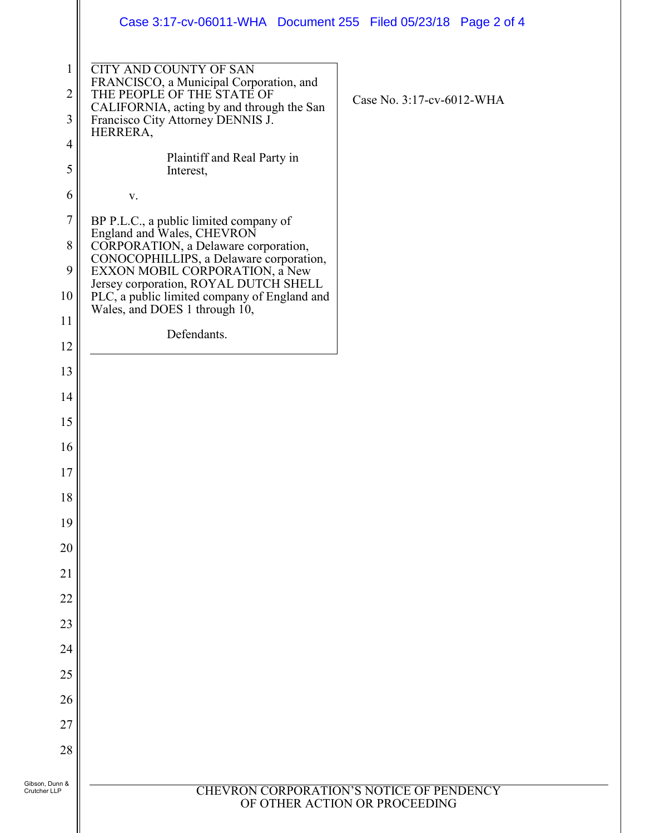|                                      | Case 3:17-cv-06011-WHA Document 255 Filed 05/23/18 Page 2 of 4                                                                                                                                                                                                                                                      |                           |
|--------------------------------------|---------------------------------------------------------------------------------------------------------------------------------------------------------------------------------------------------------------------------------------------------------------------------------------------------------------------|---------------------------|
| $\mathbf{1}$<br>$\overline{c}$<br>3  | <b>CITY AND COUNTY OF SAN</b><br>FRANCISCO, a Municipal Corporation, and<br>THE PEOPLE OF THE STATE OF<br>CALIFORNIA, acting by and through the San<br>Francisco City Attorney DENNIS J.<br>HERRERA,                                                                                                                | Case No. 3:17-cv-6012-WHA |
| $\overline{4}$<br>5                  | Plaintiff and Real Party in<br>Interest,                                                                                                                                                                                                                                                                            |                           |
| 6                                    | $\mathbf{V}$ .                                                                                                                                                                                                                                                                                                      |                           |
| $\boldsymbol{7}$<br>$8\,$<br>9<br>10 | BP P.L.C., a public limited company of<br>England and Wales, CHEVRON<br>CORPORATION, a Delaware corporation,<br>CONOCOPHILLIPS, a Delaware corporation,<br>EXXON MOBIL CORPORATION, a New<br>Jersey corporation, ROYAL DUTCH SHELL<br>PLC, a public limited company of England and<br>Wales, and DOES 1 through 10, |                           |
| 11<br>12                             | Defendants.                                                                                                                                                                                                                                                                                                         |                           |
| 13                                   |                                                                                                                                                                                                                                                                                                                     |                           |
| 14                                   |                                                                                                                                                                                                                                                                                                                     |                           |
| 15                                   |                                                                                                                                                                                                                                                                                                                     |                           |
| 16                                   |                                                                                                                                                                                                                                                                                                                     |                           |
| 17                                   |                                                                                                                                                                                                                                                                                                                     |                           |
| 18                                   |                                                                                                                                                                                                                                                                                                                     |                           |
| 19                                   |                                                                                                                                                                                                                                                                                                                     |                           |
| 20                                   |                                                                                                                                                                                                                                                                                                                     |                           |
| 21                                   |                                                                                                                                                                                                                                                                                                                     |                           |
| 22                                   |                                                                                                                                                                                                                                                                                                                     |                           |
| 23                                   |                                                                                                                                                                                                                                                                                                                     |                           |
| 24                                   |                                                                                                                                                                                                                                                                                                                     |                           |
| 25                                   |                                                                                                                                                                                                                                                                                                                     |                           |
| 26                                   |                                                                                                                                                                                                                                                                                                                     |                           |
| 27                                   |                                                                                                                                                                                                                                                                                                                     |                           |
| 28                                   |                                                                                                                                                                                                                                                                                                                     |                           |
| Gibson, Dunn &<br>Crutcher LLP       | <b>CHEVRON CORPORATION'S NOTICE OF PENDENCY</b><br>OF OTHER ACTION OR PROCEEDING                                                                                                                                                                                                                                    |                           |
|                                      |                                                                                                                                                                                                                                                                                                                     |                           |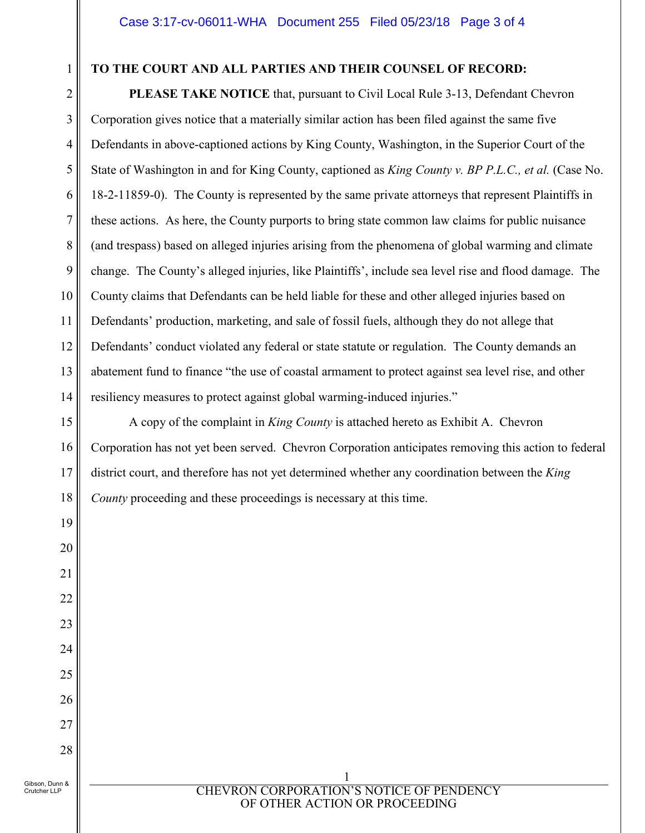## **TO THE COURT AND ALL PARTIES AND THEIR COUNSEL OF RECORD:**

2 4 5 6 7 8 9 10 11 12 13 14 **PLEASE TAKE NOTICE** that, pursuant to Civil Local Rule 3-13, Defendant Chevron Corporation gives notice that a materially similar action has been filed against the same five Defendants in above-captioned actions by King County, Washington, in the Superior Court of the State of Washington in and for King County, captioned as *King County v. BP P.L.C., et al.* (Case No. 18-2-11859-0). The County is represented by the same private attorneys that represent Plaintiffs in these actions. As here, the County purports to bring state common law claims for public nuisance (and trespass) based on alleged injuries arising from the phenomena of global warming and climate change. The County's alleged injuries, like Plaintiffs', include sea level rise and flood damage. The County claims that Defendants can be held liable for these and other alleged injuries based on Defendants' production, marketing, and sale of fossil fuels, although they do not allege that Defendants' conduct violated any federal or state statute or regulation. The County demands an abatement fund to finance "the use of coastal armament to protect against sea level rise, and other resiliency measures to protect against global warming-induced injuries."

A copy of the complaint in *King County* is attached hereto as Exhibit A. Chevron Corporation has not yet been served. Chevron Corporation anticipates removing this action to federal district court, and therefore has not yet determined whether any coordination between the *King County* proceeding and these proceedings is necessary at this time.

1

3

15

16

17

18

19

20

21

22

23

24

25

26

27